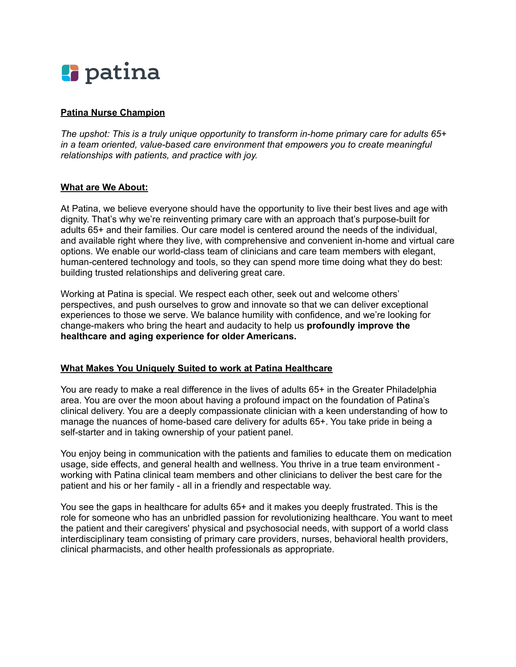

# **Patina Nurse Champion**

*The upshot: This is a truly unique opportunity to transform in-home primary care for adults 65+ in a team oriented, value-based care environment that empowers you to create meaningful relationships with patients, and practice with joy.*

#### **What are We About:**

At Patina, we believe everyone should have the opportunity to live their best lives and age with dignity. That's why we're reinventing primary care with an approach that's purpose-built for adults 65+ and their families. Our care model is centered around the needs of the individual, and available right where they live, with comprehensive and convenient in-home and virtual care options. We enable our world-class team of clinicians and care team members with elegant, human-centered technology and tools, so they can spend more time doing what they do best: building trusted relationships and delivering great care.

Working at Patina is special. We respect each other, seek out and welcome others' perspectives, and push ourselves to grow and innovate so that we can deliver exceptional experiences to those we serve. We balance humility with confidence, and we're looking for change-makers who bring the heart and audacity to help us **profoundly improve the healthcare and aging experience for older Americans.**

#### **What Makes You Uniquely Suited to work at Patina Healthcare**

You are ready to make a real difference in the lives of adults 65+ in the Greater Philadelphia area. You are over the moon about having a profound impact on the foundation of Patina's clinical delivery. You are a deeply compassionate clinician with a keen understanding of how to manage the nuances of home-based care delivery for adults 65+. You take pride in being a self-starter and in taking ownership of your patient panel.

You enjoy being in communication with the patients and families to educate them on medication usage, side effects, and general health and wellness. You thrive in a true team environment working with Patina clinical team members and other clinicians to deliver the best care for the patient and his or her family - all in a friendly and respectable way.

You see the gaps in healthcare for adults 65+ and it makes you deeply frustrated. This is the role for someone who has an unbridled passion for revolutionizing healthcare. You want to meet the patient and their caregivers' physical and psychosocial needs, with support of a world class interdisciplinary team consisting of primary care providers, nurses, behavioral health providers, clinical pharmacists, and other health professionals as appropriate.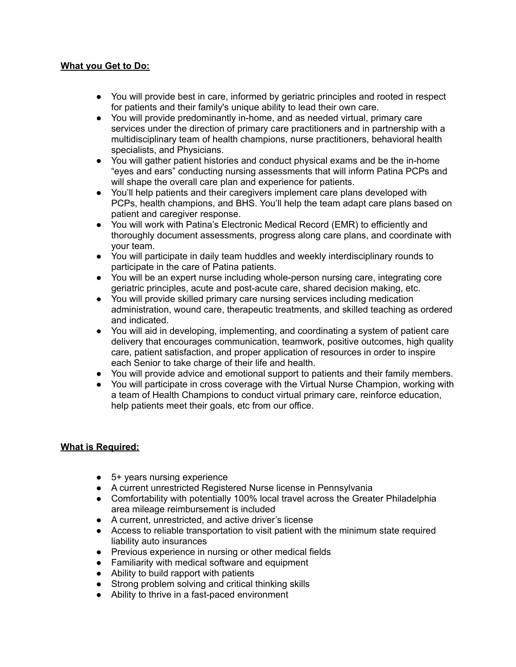### **What you Get to Do:**

- You will provide best in care, informed by geriatric principles and rooted in respect for patients and their family's unique ability to lead their own care.
- You will provide predominantly in-home, and as needed virtual, primary care services under the direction of primary care practitioners and in partnership with a multidisciplinary team of health champions, nurse practitioners, behavioral health specialists, and Physicians.
- You will gather patient histories and conduct physical exams and be the in-home "eyes and ears" conducting nursing assessments that will inform Patina PCPs and will shape the overall care plan and experience for patients.
- You'll help patients and their caregivers implement care plans developed with PCPs, health champions, and BHS. You'll help the team adapt care plans based on patient and caregiver response.
- You will work with Patina's Electronic Medical Record (EMR) to efficiently and thoroughly document assessments, progress along care plans, and coordinate with your team.
- You will participate in daily team huddles and weekly interdisciplinary rounds to participate in the care of Patina patients.
- You will be an expert nurse including whole-person nursing care, integrating core geriatric principles, acute and post-acute care, shared decision making, etc.
- You will provide skilled primary care nursing services including medication administration, wound care, therapeutic treatments, and skilled teaching as ordered and indicated.
- You will aid in developing, implementing, and coordinating a system of patient care delivery that encourages communication, teamwork, positive outcomes, high quality care, patient satisfaction, and proper application of resources in order to inspire each Senior to take charge of their life and health.
- You will provide advice and emotional support to patients and their family members.
- You will participate in cross coverage with the Virtual Nurse Champion, working with a team of Health Champions to conduct virtual primary care, reinforce education, help patients meet their goals, etc from our office.

# **What is Required:**

- 5+ years nursing experience
- A current unrestricted Registered Nurse license in Pennsylvania
- Comfortability with potentially 100% local travel across the Greater Philadelphia area mileage reimbursement is included
- A current, unrestricted, and active driver's license
- Access to reliable transportation to visit patient with the minimum state required liability auto insurances
- Previous experience in nursing or other medical fields
- Familiarity with medical software and equipment
- Ability to build rapport with patients
- Strong problem solving and critical thinking skills
- Ability to thrive in a fast-paced environment